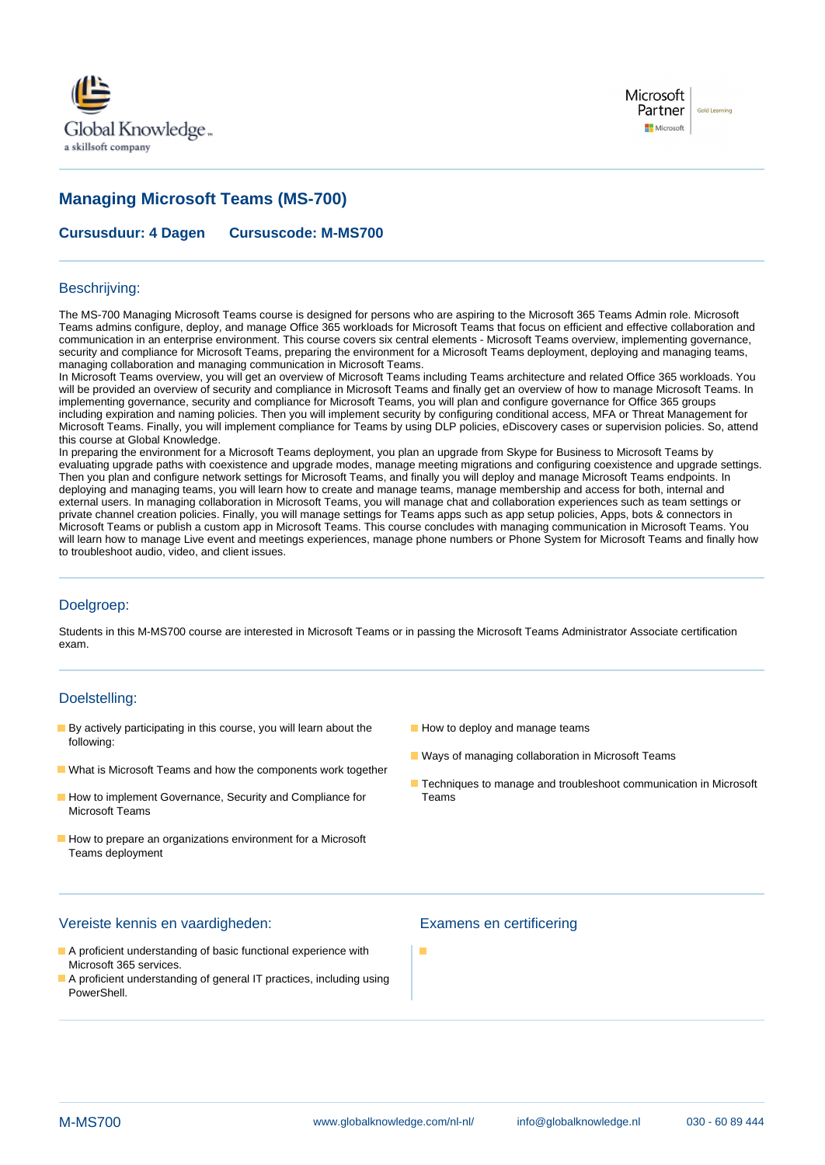

# **Managing Microsoft Teams (MS-700)**

**Cursusduur: 4 Dagen Cursuscode: M-MS700**

### Beschrijving:

The MS-700 Managing Microsoft Teams course is designed for persons who are aspiring to the Microsoft 365 Teams Admin role. Microsoft Teams admins configure, deploy, and manage Office 365 workloads for Microsoft Teams that focus on efficient and effective collaboration and communication in an enterprise environment. This course covers six central elements - Microsoft Teams overview, implementing governance, security and compliance for Microsoft Teams, preparing the environment for a Microsoft Teams deployment, deploying and managing teams, managing collaboration and managing communication in Microsoft Teams.

In Microsoft Teams overview, you will get an overview of Microsoft Teams including Teams architecture and related Office 365 workloads. You will be provided an overview of security and compliance in Microsoft Teams and finally get an overview of how to manage Microsoft Teams. In implementing governance, security and compliance for Microsoft Teams, you will plan and configure governance for Office 365 groups including expiration and naming policies. Then you will implement security by configuring conditional access, MFA or Threat Management for Microsoft Teams. Finally, you will implement compliance for Teams by using DLP policies, eDiscovery cases or supervision policies. So, attend this course at Global Knowledge.

In preparing the environment for a Microsoft Teams deployment, you plan an upgrade from Skype for Business to Microsoft Teams by evaluating upgrade paths with coexistence and upgrade modes, manage meeting migrations and configuring coexistence and upgrade settings. Then you plan and configure network settings for Microsoft Teams, and finally you will deploy and manage Microsoft Teams endpoints. In deploying and managing teams, you will learn how to create and manage teams, manage membership and access for both, internal and external users. In managing collaboration in Microsoft Teams, you will manage chat and collaboration experiences such as team settings or private channel creation policies. Finally, you will manage settings for Teams apps such as app setup policies, Apps, bots & connectors in Microsoft Teams or publish a custom app in Microsoft Teams. This course concludes with managing communication in Microsoft Teams. You will learn how to manage Live event and meetings experiences, manage phone numbers or Phone System for Microsoft Teams and finally how to troubleshoot audio, video, and client issues.

# Doelgroep:

Students in this M-MS700 course are interested in Microsoft Teams or in passing the Microsoft Teams Administrator Associate certification exam.

# Doelstelling:

- **By actively participating in this course, you will learn about the How to deploy and manage teams** following:
- What is Microsoft Teams and how the components work together
- How to implement Governance, Security and Compliance for Teams Microsoft Teams
- How to prepare an organizations environment for a Microsoft Teams deployment
- 
- **NAT Ways of managing collaboration in Microsoft Teams**
- **Techniques to manage and troubleshoot communication in Microsoft**

#### Vereiste kennis en vaardigheden: Examens en certificering

- A proficient understanding of basic functional experience with Microsoft 365 services.
- A proficient understanding of general IT practices, including using PowerShell.

×